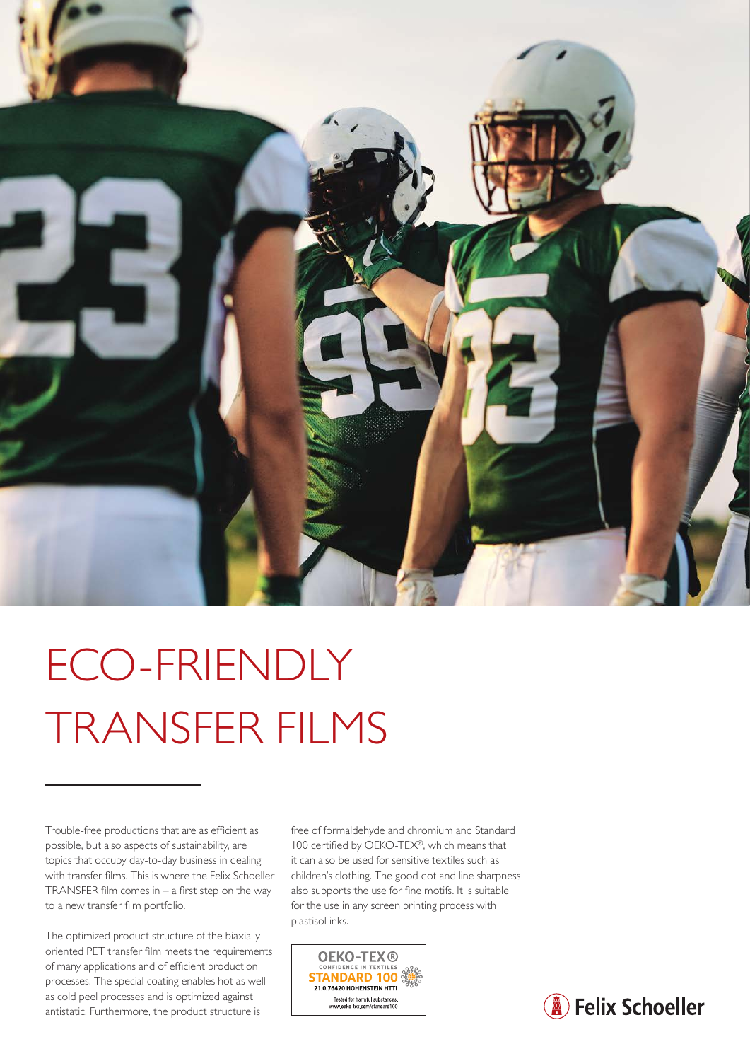

## ECO-FRIENDLY TRANSFER FILMS

Trouble-free productions that are as efficient as possible, but also aspects of sustainability, are topics that occupy day-to-day business in dealing with transfer films. This is where the Felix Schoeller TRANSFER film comes in  $-$  a first step on the way to a new transfer film portfolio.

The optimized product structure of the biaxially oriented PET transfer film meets the requirements of many applications and of efficient production processes. The special coating enables hot as well as cold peel processes and is optimized against antistatic. Furthermore, the product structure is

free of formaldehyde and chromium and Standard 100 certified by OEKO-TEX®, which means that it can also be used for sensitive textiles such as children's clothing. The good dot and line sharpness also supports the use for fine motifs. It is suitable for the use in any screen printing process with plastisol inks.